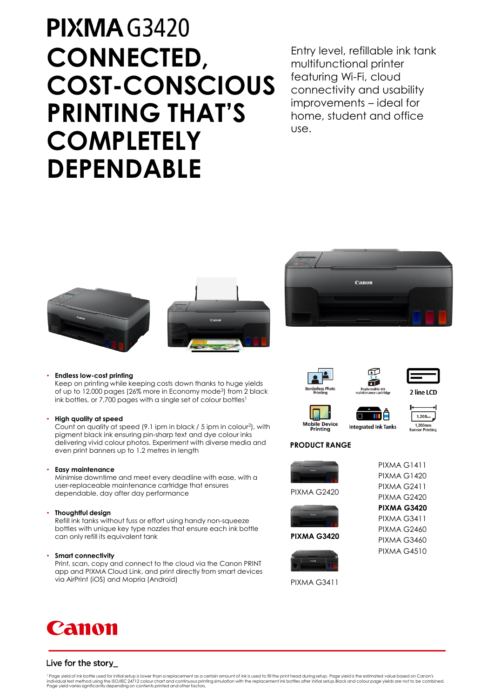# **PIXMA G3420 CONNECTED, COST-CONSCIOUS PRINTING THAT'S COMPLETELY DEPENDABLE**

Entry level, refillable ink tank multifunctional printer featuring Wi-Fi, cloud connectivity and usability improvements – ideal for home, student and office use.







## • **Endless low-cost printing**

Keep on printing while keeping costs down thanks to huge yields of up to 12,000 pages (26% more in Economy mode<sup>3</sup>) from 2 black ink bottles, or 7,700 pages with a single set of colour bottles<sup>1</sup>

## • **High quality at speed**

Count on quality at speed (9.1 ipm in black / 5 ipm in colour<sup>2</sup> ), with pigment black ink ensuring pin-sharp text and dye colour inks delivering vivid colour photos. Experiment with diverse media and even print banners up to 1.2 metres in length

## • **Easy maintenance**

Minimise downtime and meet every deadline with ease, with a user-replaceable maintenance cartridge that ensures dependable, day after day performance

## • **Thoughtful design**

Refill ink tanks without fuss or effort using handy non-squeeze bottles with unique key type nozzles that ensure each ink bottle can only refill its equivalent tank

## • **Smart connectivity**

Print, scan, copy and connect to the cloud via the Canon PRINT app and PIXMA Cloud Link, and print directly from smart devices via AirPrint (iOS) and Mopria (Android)





2 line LCD





印 ä



## **PRODUCT RANGE**





**PIXMA G3420**



PIXMA G3411



**PIXMA G3420**

PIXMA G3411 PIXMA G2460 PIXMA G3460 PIXMA G4510



## Live for the story\_

<sup>1</sup> Page yield of ink bottle used for initial setup is lower than a replacement as a certain amount of ink is used to fill the print head during setup. Page yield is the estimated value based on Canon's<br>individual test met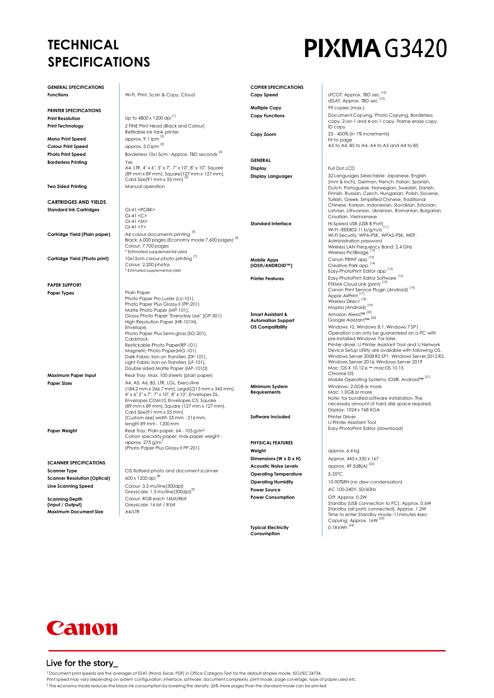## **TECHNICAL SPECIFICATIONS**

# **PIXMA G3420**

| <b>GENERAL SPECIFICATIONS</b>                                      |                                                                                                                                                                                                                                                                                                                                                                                                                                                                            | <b>COPIER SPECIFICATIONS</b>                                              |                                                                                                                                                                                                                                                                                                                                                                                                                                                                                                                                                                                   |
|--------------------------------------------------------------------|----------------------------------------------------------------------------------------------------------------------------------------------------------------------------------------------------------------------------------------------------------------------------------------------------------------------------------------------------------------------------------------------------------------------------------------------------------------------------|---------------------------------------------------------------------------|-----------------------------------------------------------------------------------------------------------------------------------------------------------------------------------------------------------------------------------------------------------------------------------------------------------------------------------------------------------------------------------------------------------------------------------------------------------------------------------------------------------------------------------------------------------------------------------|
| Functions                                                          | Wi-Fi, Print, Scan & Copy, Cloud                                                                                                                                                                                                                                                                                                                                                                                                                                           | Copy Speed                                                                | sFCOT: Approx. TBD sec <sup>[10]</sup><br>sESAT: Approx. TBD sec <sup>[10]</sup>                                                                                                                                                                                                                                                                                                                                                                                                                                                                                                  |
| <b>PRINTER SPECIFICATIONS</b>                                      |                                                                                                                                                                                                                                                                                                                                                                                                                                                                            | <b>Multiple Copy</b>                                                      | 99 copies (max.)                                                                                                                                                                                                                                                                                                                                                                                                                                                                                                                                                                  |
| <b>Print Resolution</b>                                            | Up to 4800 x 1200 dpi [1]                                                                                                                                                                                                                                                                                                                                                                                                                                                  | <b>Copy Functions</b>                                                     | Document Copying, Photo Copying, Borderless                                                                                                                                                                                                                                                                                                                                                                                                                                                                                                                                       |
| Print Technology                                                   | 2 FINE Print Head (Black and Colour)                                                                                                                                                                                                                                                                                                                                                                                                                                       |                                                                           | copy, 2-on-1 and 4-on-1 copy, Frame erase copy,<br>ID copy                                                                                                                                                                                                                                                                                                                                                                                                                                                                                                                        |
| Mono Print Speed                                                   | Refillable ink tank printer<br>approx. 9.1 ipm [2]                                                                                                                                                                                                                                                                                                                                                                                                                         | Copy Zoom                                                                 | 25 - 400% (in 1% increments)                                                                                                                                                                                                                                                                                                                                                                                                                                                                                                                                                      |
| <b>Colour Print Speed</b>                                          | approx. 5.0 ipm [2]                                                                                                                                                                                                                                                                                                                                                                                                                                                        |                                                                           | Fit to page<br>A5 to A4, B5 to A4, A4 to A5 and A4 to B5                                                                                                                                                                                                                                                                                                                                                                                                                                                                                                                          |
| <b>Photo Print Speed</b>                                           | Borderless 10x15cm : Approx. TBD seconds [3]                                                                                                                                                                                                                                                                                                                                                                                                                               |                                                                           |                                                                                                                                                                                                                                                                                                                                                                                                                                                                                                                                                                                   |
| <b>Borderless Printing</b>                                         | Yes                                                                                                                                                                                                                                                                                                                                                                                                                                                                        | <b>GENERAL</b>                                                            |                                                                                                                                                                                                                                                                                                                                                                                                                                                                                                                                                                                   |
|                                                                    | A4, LTR, 4" x 6", 5" x 7", 7" x 10", 8" x 10", Square<br>(89 mm x 89 mm), Square (127 mm x 127 mm),<br>Card Size(91 mm x 55 mm) [4]                                                                                                                                                                                                                                                                                                                                        | Display<br><b>Display Languages</b>                                       | Full Dot LCD<br>32 Languages Selectable: Japanese, English                                                                                                                                                                                                                                                                                                                                                                                                                                                                                                                        |
| <b>Two Sided Printing</b>                                          | Manual operation                                                                                                                                                                                                                                                                                                                                                                                                                                                           |                                                                           | (mm & inch), German, French, Italian, Spanish,<br>Dutch, Portuguese, Norwegian, Swedish, Danish,<br>Finnish, Russian, Czech, Hungarian, Polish, Slovene,                                                                                                                                                                                                                                                                                                                                                                                                                          |
| CARTRIDGES AND YIELDS                                              |                                                                                                                                                                                                                                                                                                                                                                                                                                                                            |                                                                           | Turkish, Greek, Simplified Chinese, Traditional<br>Chinese, Korean, Indonesian, Slovakian, Estonian,                                                                                                                                                                                                                                                                                                                                                                                                                                                                              |
| <b>Standard Ink Cartridges</b>                                     | GI-41 <pgbk><br/><math>GI-41 &lt; C</math><br/><math>GI-41 &lt; M</math><br/><math>GI-41 &lt; Y</math></pgbk>                                                                                                                                                                                                                                                                                                                                                              | <b>Standard Interface</b>                                                 | Latvian, Lithuanian, Ukrainian, Romanian, Bulgarian,<br>Croatian, Vietnamese<br>Hi-Speed USB (USB B Port)<br>Wi-Fi: IEEE802.11 b/g/n/a <sup>'[11]</sup>                                                                                                                                                                                                                                                                                                                                                                                                                           |
| Cartridge Yield (Plain paper)                                      | A4 colour documents printing [5]<br>Black: 6,000 pages (Economy mode 7,600 pages) <sup>[6]</sup><br>Colour: 7,700 pages<br>* Estimated supplemental yield                                                                                                                                                                                                                                                                                                                  |                                                                           | Wi-Fi Security: WPA-PSK, WPA2-PSK, WEP,<br>Administration password<br>Wireless LAN Frequency Band: 2.4 GHz<br>Wireless PictBridge <sup>[12</sup>                                                                                                                                                                                                                                                                                                                                                                                                                                  |
| Cartridge Yield (Photo print)                                      | 10x15cm colour photo printing [1]                                                                                                                                                                                                                                                                                                                                                                                                                                          | <b>Mobile Apps</b>                                                        | Canon PRINT app <sup>[13]</sup>                                                                                                                                                                                                                                                                                                                                                                                                                                                                                                                                                   |
|                                                                    | Colour: 2,200 photos<br>* Estimated supplemental yield                                                                                                                                                                                                                                                                                                                                                                                                                     | (iOS®/ANDROID™)                                                           | Creative Park app <sup>[14]</sup><br>Easy-PhotoPrint Editor app <sup>[15]</sup>                                                                                                                                                                                                                                                                                                                                                                                                                                                                                                   |
|                                                                    |                                                                                                                                                                                                                                                                                                                                                                                                                                                                            | <b>Printer Features</b>                                                   | Easy-PhotoPrint Editor Software <sup>[15]</sup>                                                                                                                                                                                                                                                                                                                                                                                                                                                                                                                                   |
| <b>PAPER SUPPORT</b>                                               |                                                                                                                                                                                                                                                                                                                                                                                                                                                                            |                                                                           | PIXMA Cloud Link (print) [13]<br>Canon Print Service Plugin (Android) <sup>[16]</sup>                                                                                                                                                                                                                                                                                                                                                                                                                                                                                             |
| Paper Types                                                        | Plain Paper<br>Photo Paper Pro Luster (LU-101),<br>Photo Paper Plus Glossy II (PP-201)<br>Matte Photo Paper (MP-101),<br>Glossy Photo Paper "Everyday Use" (GP-501)<br>High Resolution Paper (HR-101N),<br>Envelope,<br>Photo Paper Plus Semi-gloss (SG-201),<br>Cardstock<br>Restickable Photo Paper(RP-101)<br>Magnetic Photo Paper(MG-101)<br>Dark Fabric Iron on Transfers (DF-101),<br>Light Fabric Iron on Transfers (LF-101),<br>Double sided Matte Paper (MP-101D) | Smart Assistant &<br><b>Automation Support</b><br><b>OS Compatibility</b> | Apple AirPrint <sup>[17]</sup><br>Wireless Direct $^{[18]}$<br>Mopria (Android) <sup>[19]</sup><br>Amazon Alexa™ <sup>[20]</sup><br>Google Assistant™ <sup>[20]</sup><br>Windows 10, Windows 8.1, Windows 7 SP1<br>Operation can only be guaranteed on a PC with<br>pre-installed Windows 7or later.<br>Printer driver, IJ Printer Assistant Tool and IJ Network<br>Device Setup Utility are available with following OS.<br>Windows Server 2008 R2 SP1, Windows Server 2012 R2,<br>Windows Server 2016, Windows Server 2019<br>Mac: OS X 10.12.6 $\sim$ macOS 10.15<br>Chrome OS |
| Maximum Paper Input                                                | Rear Tray: Max. 100 sheets (plain paper)                                                                                                                                                                                                                                                                                                                                                                                                                                   |                                                                           | Mobile Operating Systems: iOS®, Android™ <sup>[21]</sup>                                                                                                                                                                                                                                                                                                                                                                                                                                                                                                                          |
| <b>Paper Sizes</b>                                                 | A4, A5, A6, B5, LTR, LGL, Executive<br>$(184.2 \text{ mm} \times 266.7 \text{ mm})$ , Legal $(215 \text{ mm} \times 345 \text{ mm})$ ,<br>4" x 6",5" x 7", 7" x 10", 8" x 10", Envelopes DL,<br>Envelopes COM10, Envelopes C5, Square<br>(89 mm x 89 mm), Square (127 mm x 127 mm),<br>Card Size(91 mm x 55 mm)                                                                                                                                                            | Minimum System<br><b>Requirements</b>                                     | Windows: 2.0GB or more<br>Mac: 1.0GB or more<br>Note: for bundled software installation. The<br>necessary amount of hard disk space required.<br>Display: 1024 x 768 XGA                                                                                                                                                                                                                                                                                                                                                                                                          |
| Paper Weight                                                       | [Custom size] width 55 mm - 216 mm,<br>length 89 mm - 1200 mm<br>Rear Tray: Plain paper: 64 - 105 g/m <sup>2</sup>                                                                                                                                                                                                                                                                                                                                                         | Software Included                                                         | <b>Printer Driver</b><br><b>IJ Printer Assistant Tool</b><br>Easy-PhotoPrint Editor (download)                                                                                                                                                                                                                                                                                                                                                                                                                                                                                    |
|                                                                    | Canon specialty paper: max paper weight :<br>approx. 275 g/m <sup>2</sup>                                                                                                                                                                                                                                                                                                                                                                                                  | <b>PHYSICAL FEATURES</b>                                                  |                                                                                                                                                                                                                                                                                                                                                                                                                                                                                                                                                                                   |
|                                                                    | (Photo Paper Plus Glossy II PP-201)                                                                                                                                                                                                                                                                                                                                                                                                                                        | Weight                                                                    | approx. 6.4 kg                                                                                                                                                                                                                                                                                                                                                                                                                                                                                                                                                                    |
|                                                                    |                                                                                                                                                                                                                                                                                                                                                                                                                                                                            | Dimensions (W x D x H)                                                    | Approx. 445 x 330 x 167                                                                                                                                                                                                                                                                                                                                                                                                                                                                                                                                                           |
| <b>SCANNER SPECIFICATIONS</b>                                      |                                                                                                                                                                                                                                                                                                                                                                                                                                                                            | <b>Acoustic Noise Levels</b>                                              | approx. 49.5dB(A) <sup>[22]</sup>                                                                                                                                                                                                                                                                                                                                                                                                                                                                                                                                                 |
| <b>Scanner Type</b>                                                | CIS flatbed photo and document scanner                                                                                                                                                                                                                                                                                                                                                                                                                                     | <b>Operating Temperature</b>                                              | $5-35^{\circ}$ C                                                                                                                                                                                                                                                                                                                                                                                                                                                                                                                                                                  |
| <b>Scanner Resolution (Optical)</b>                                | 600 x 1200 dpi <sup>[8]</sup>                                                                                                                                                                                                                                                                                                                                                                                                                                              | <b>Operating Humidity</b>                                                 | 10-90%RH (no dew condensation)                                                                                                                                                                                                                                                                                                                                                                                                                                                                                                                                                    |
| Line Scanning Speed                                                | Colour: 3.5 ms/line (300dpi)                                                                                                                                                                                                                                                                                                                                                                                                                                               | <b>Power Source</b>                                                       | AC 100-240V, 50/60Hz                                                                                                                                                                                                                                                                                                                                                                                                                                                                                                                                                              |
|                                                                    | Greyscale: 1.5 ms/line(300dpi) <sup>[9]</sup><br>Colour: RGB each 16bit/8bit                                                                                                                                                                                                                                                                                                                                                                                               | <b>Power Consumption</b>                                                  | Off: Approx. 0.2W                                                                                                                                                                                                                                                                                                                                                                                                                                                                                                                                                                 |
| <b>Scanning Depth</b><br>(Input / Output)<br>Maximum Document Size | Greyscale: 16 bit / 8 bit<br>A4/LTR                                                                                                                                                                                                                                                                                                                                                                                                                                        |                                                                           | Standby (USB connection to PC): Approx. 0.6W<br>Standby (all ports connected): Approx. 1.2W<br>Time to enter Standby mode: 11 minutes 4sec<br>Copying: Approx. 16W [23]                                                                                                                                                                                                                                                                                                                                                                                                           |

**Typical Electricity Consumption**

0.18 kWh  $^{[24]}$ 



## Live for the story\_

2Document print speeds are the averages of ESAT (Word, Excel, PDF) in Office Category Test for the default simplex mode, ISO/IEC 24734.<br>Print speed may vary depending on system configuration, interface, software, document <sup>3</sup> The economy mode reduces the black ink consumption by lowering the density, 26% more pages than the standard mode can be printed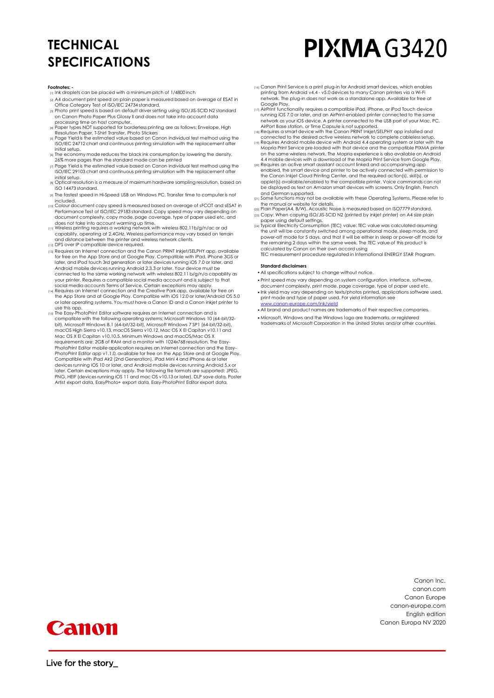## **TECHNICAL SPECIFICATIONS**

# **PIXMA G3420**

#### **Footnotes:**

- $_{[1]}$  Ink droplets can be placed with a minimum pitch of 1/4800 inch
- [2] A4 document print speed on plain paper is measured based on average of ESAT in Office Category Test of ISO/IEC 24734 standard.
- [3] Photo print speed is based on default driver setting using ISO/JIS-SCID N2 standard on Canon Photo Paper Plus Glossy II and does not take into account data
- processing time on host computer.<br>Resolution Papes NOT supported for borderless printing are as follows: Envelope, High<br>Resolution Paper, T-Shirt Transfer, Photo Stickers<br>Respie Yield is the estimated value based on Canon
- ISO/IEC 24712 chart and continuous printing simulation with the replacement after initial setup.
- [6] The economy mode reduces the black ink consumption by lowering the density, 26% more pages than the standard mode can be printed
- $\eta$  Page Yield is the estimated value based on Canon individual test method using the ISO/IEC 29103 chart and continuous printing simulation with the replacement after initial setup.
- [8] Optical resolution is a measure of maximum hardware sampling resolution, based on ISO 14473 standard.
- [9] The fastest speed in Hi-Speed USB on Windows PC. Transfer time to computer is no included.
- [10] Colour document copy speed is measured based on average of sFCOT and sESAT in Performance Test of ISO/IEC 29183 standard. Copy speed may vary depending on document complexity, copy mode, page coverage, type of paper used etc. and
- does not take into account warming up time. [11] Wireless printing requires a working network with wireless 802.11b/g/n/ac or ad capability, operating at 2.4GHz. Wireless performance may vary based on terrain and distance between the printer and wireless network clients. [12] DPS over IP compatible device required.
- 
- [13] Requires an Internet connection and the Canon PRINT Inkjet/SELPHY app, available for free on the App Store and at Google Play. Compatible with iPad, iPhone 3GS or later, and iPod touch 3rd generation or later devices running iOS 7.0 or later, and Android mobile devices running Android 2.3.3 or later. Your device must be connected to the same working network with wireless 802.11 b/g/n/a capability as your printer. Requires a compatible social media account and is subject to that
- social media accounts Terms of Service. Certain exceptions may apply. [14] Requires an Internet connection and the Creative Park app, available for free on the App Store and at Google Play. Compatible with iOS 12.0 or later/Android OS 5.0 or later operating systems. You must have a Canon ID and a Canon inkjet printer to
- use this app. [15] The Easy-PhotoPrint Editor software requires an Internet connection and is compatible with the following operating systems; Microsoft Windows 10 (64-bit/32 bit), Microsoft Windows 8.1 (64-bit/32-bit), Microsoft Windows 7 SP1 (64-bit/32-bit), macOS High Sierra v10.13, macOS Sierra v10.12, Mac OS X El Capitan v10.11 and Mac OS X El Capitan v10.10.5. Minimum Windows and macOS/Mac OS X requirements are: 2GB of RAM and a monitor with 1024x768 resolution. The Easy-PhotoPrint Editor mobile application requires an Internet connection and the Easy-PhotoPrint Editor app v1.1.0, available for free on the App Store and at Google Play. Compatible with iPad Air2 (2nd Generation), iPad Mini 4 and iPhone 6s or later devices running iOS 10 or later, and Android mobile devices running Android 5.x or later. Certain exceptions may apply. The following file formats are supported: JPEG,<br>PNG, HEIF (devices running iOS 11 and mac OS v10.13 or later), DLP save data, Poster Artist export data, EasyPhoto+ export data, Easy-PhotoPrint Editor export data.
- [16] Canon Print Service is a print plug-in for Android smart devices, which enables printing from Android v4.4 v5.0 devices to many Canon printers via a Wi-Fi network. The plug-in does not work as a standalone app. Available for free at
- Google Play. [17] AirPrint functionality requires a compatible iPad, iPhone, or iPod Touch device running iOS 7.0 or later, and an AirPrint-enabled printer connected to the same network as your iOS device. A printer connected to the USB port of your Mac, PC, AirPort Base station, or Time Capsule is not supported. [18] Requires a smart device with the Canon PRINT Inkjet/SELPHY app installed and
- connected to the desired active wireless network to complete cableless setup.<br>In Requires Android mobile device with Android 4.4 operating system or later with me<br>Mopria Print Service pre-loaded with that device and the co
- 4.4 mobile devices with a download of the Mopria Print Service from Google Play.<br><sub>[20]</sub> Requires an active smart assistant account linked and accompanying app<br>enabled, the smart device and printer to be actively connected
- the Canon Inkjet Cloud Printing Center, and the required action(s), skill(s), or applet(s) available/enabled to the compatible printer. Voice commands can not be displayed as text on Amazon smart devices with screens. Only English, French and German supported.
- [21] Some functions may not be available with these Operating Systems. Please refer to
- the manual or website for details.<br>[22] Plain Paper(A4, B/W). Acoustic Noise is measured based on ISO7779 standard.<br>[23] Copy: When copying ISO/JIS-SCID N2 (printed by inkjet printer) on A4 size plain
- paper using default settings. [24] Typical Electricity Consumption (TEC) value: TEC value was calculated assuming the unit will be constantly switched among operational mode, sleep mode, and power-off mode for 5 days, and that it will be either in sleep or power-off mode for the remaining 2 days within the same week. The TEC value of this product is calculated by Canon on their own accord using

TEC measurement procedure regulated in International ENERGY STAR Program.

## **Standard disclaimers**

- •All specifications subject to change without notice.
- •Print speed may vary depending on system configuration, interface, software, document complexity, print mode, page coverage, type of paper used etc.
- •Ink yield may vary depending on texts/photos printed, applications software used, print mode and type of paper used. For yield information see [www.canon-europe.com/ink/yield](http://www.canon-europe.com/ink/yield)
- •All brand and product names are trademarks of their respective companies.
- •Microsoft, Windows and the Windows logo are trademarks, or registered trademarks of Microsoft Corporation in the United States and/or other countries.

Canon Inc. canon.com Canon Europe canon-europe.com English edition Canon Europa NV 2020



Live for the story